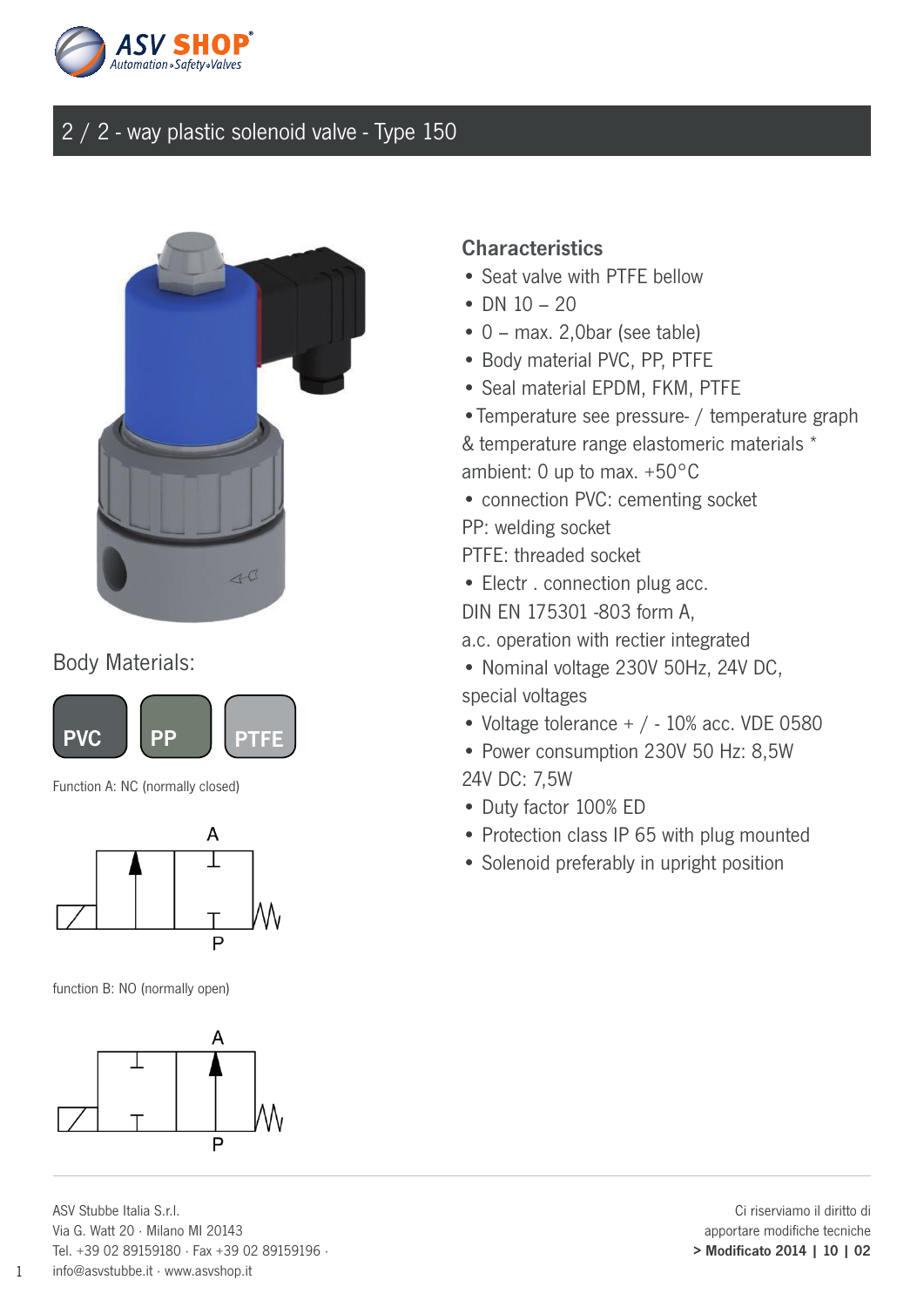



#### Body Materials:



Function A: NC (normally closed)



function B: NO (normally open)



ASV Stubbe Italia S.r.l. Via G. Watt 20 · Milano MI 20143 Tel. +39 02 89159180 · Fax +39 02 89159196 · info@asvstubbe.it · www.asvshop.it

#### **Characteristics**

- Seat valve with PTFF bellow
- DN  $10 20$
- 0 max. 2,0bar (see table)
- Body material PVC, PP, PTFE
- Seal material EPDM, FKM, PTFE
- •Temperature see pressure- / temperature graph
- & temperature range elastomeric materials \* ambient: 0 up to max. +50°C
- connection PVC: cementing socket
- PP: welding socket
- PTFE: threaded socket
- Electr . connection plug acc.
- DIN EN 175301 -803 form A,

a.c. operation with rectier integrated

- Nominal voltage 230V 50Hz, 24V DC, special voltages
- Voltage tolerance  $+$  / 10% acc. VDE 0580
- Power consumption 230V 50 Hz: 8,5W 24V DC: 7,5W
- Duty factor 100% ED
- Protection class IP 65 with plug mounted
- Solenoid preferably in upright position

Ci riserviamo il diritto di apportare modifiche tecniche > Modificato 2014 | 10 | 02

1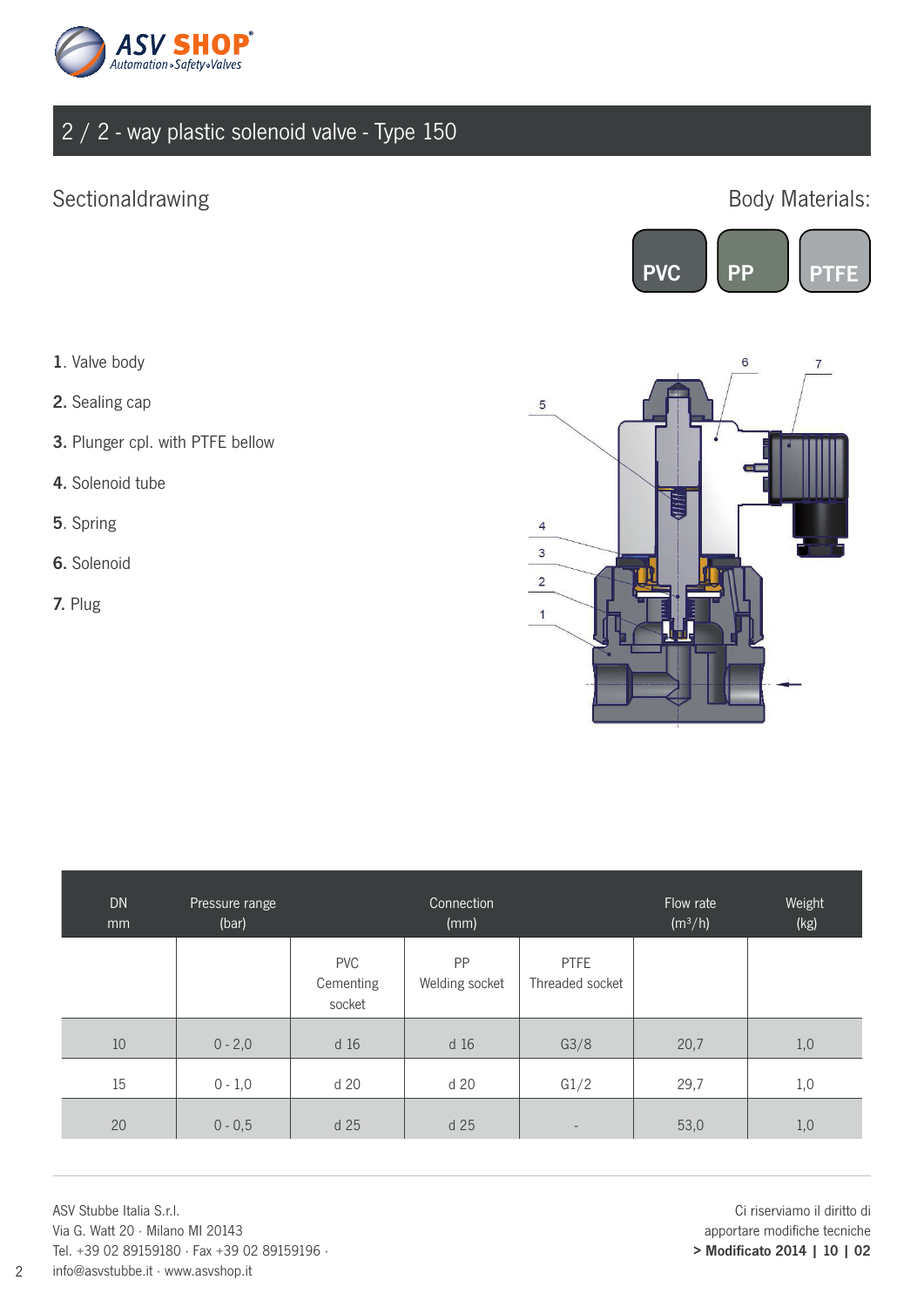

### Sectionaldrawing **Body Materials:**



- 1. Valve body
- 2. Sealing cap
- 3. Plunger cpl. with PTFE bellow
- 4. Solenoid tube
- 5. Spring
- 6. Solenoid
- 7. Plug



| <b>DN</b><br>mm | Pressure range<br>(bar) |                                   | Connection<br>(mm)   |                                | Flow rate<br>(m <sup>3</sup> /h) | Weight<br>(kg) |
|-----------------|-------------------------|-----------------------------------|----------------------|--------------------------------|----------------------------------|----------------|
|                 |                         | <b>PVC</b><br>Cementing<br>socket | PP<br>Welding socket | <b>PTFE</b><br>Threaded socket |                                  |                |
| 10              | $0 - 2,0$               | d 16                              | d 16                 | G3/8                           | 20,7                             | 1,0            |
| 15              | $0 - 1,0$               | d 20                              | d 20                 | G1/2                           | 29,7                             | 1,0            |
| 20              | $0 - 0,5$               | d 25                              | d 25                 | $\overline{\phantom{a}}$       | 53,0                             | 1,0            |

ASV Stubbe Italia S.r.l. Via G. Watt 20 · Milano MI 20143 Tel. +39 02 89159180 · Fax +39 02 89159196 · info@asvstubbe.it · www.asvshop.it

Ci riserviamo il diritto di apportare modifiche tecniche > Modificato 2014 | 10 | 02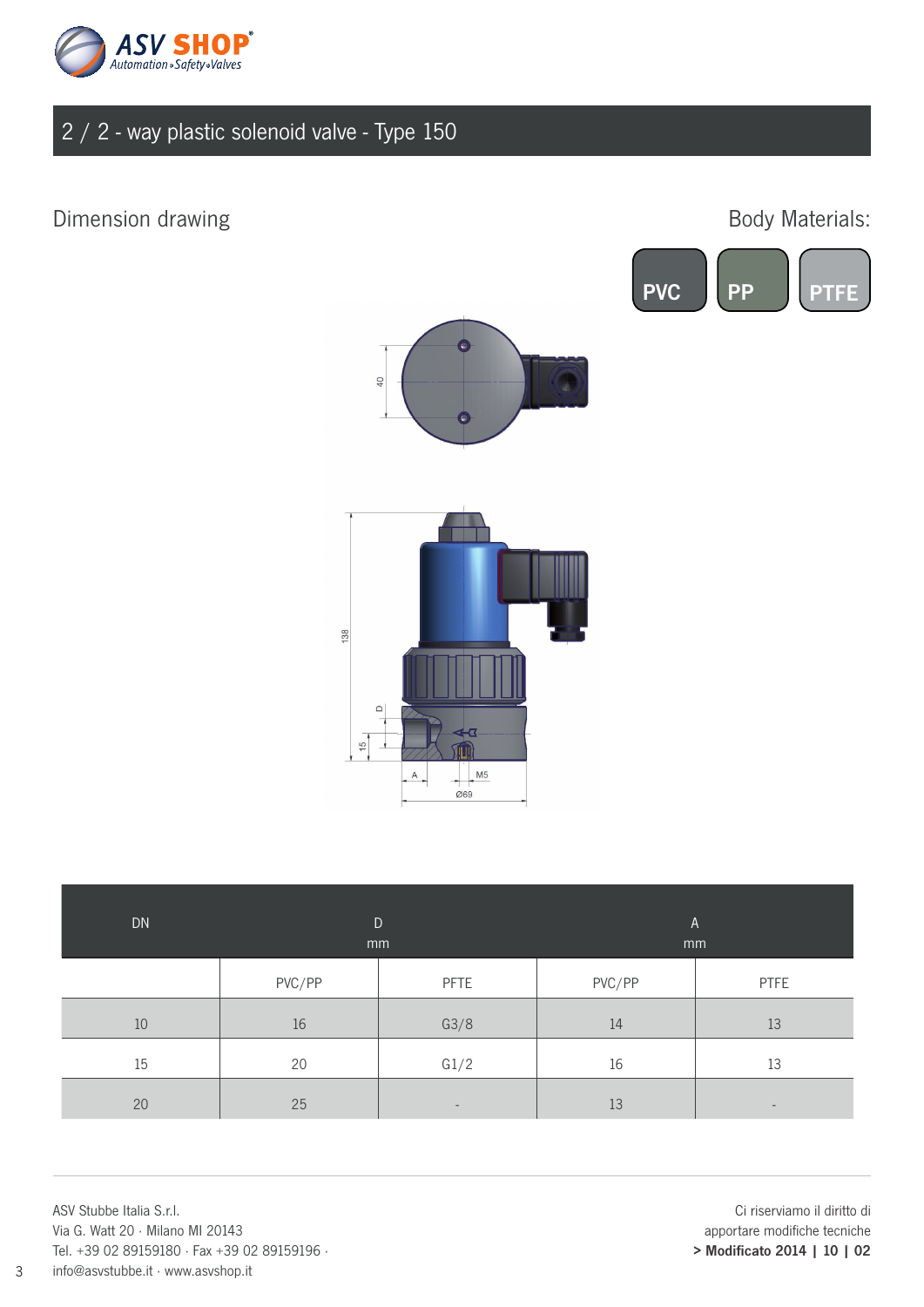

## Dimension drawing

## Body Materials:





40

| DN | mm     | $\mathsf{D}$             | $\mathsf{A}$<br>mm |                          |  |
|----|--------|--------------------------|--------------------|--------------------------|--|
|    | PVC/PP | PFTE                     | PVC/PP             | <b>PTFE</b>              |  |
| 10 | 16     | G3/8                     | 14                 | 13                       |  |
| 15 | 20     | G1/2                     | 16                 | 13                       |  |
| 20 | 25     | $\overline{\phantom{a}}$ | 13                 | $\overline{\phantom{0}}$ |  |

ASV Stubbe Italia S.r.l. Via G. Watt 20 · Milano MI 20143 Tel. +39 02 89159180 · Fax +39 02 89159196 · info@asvstubbe.it · www.asvshop.it

Ci riserviamo il diritto di apportare modifiche tecniche > Modificato 2014 | 10 | 02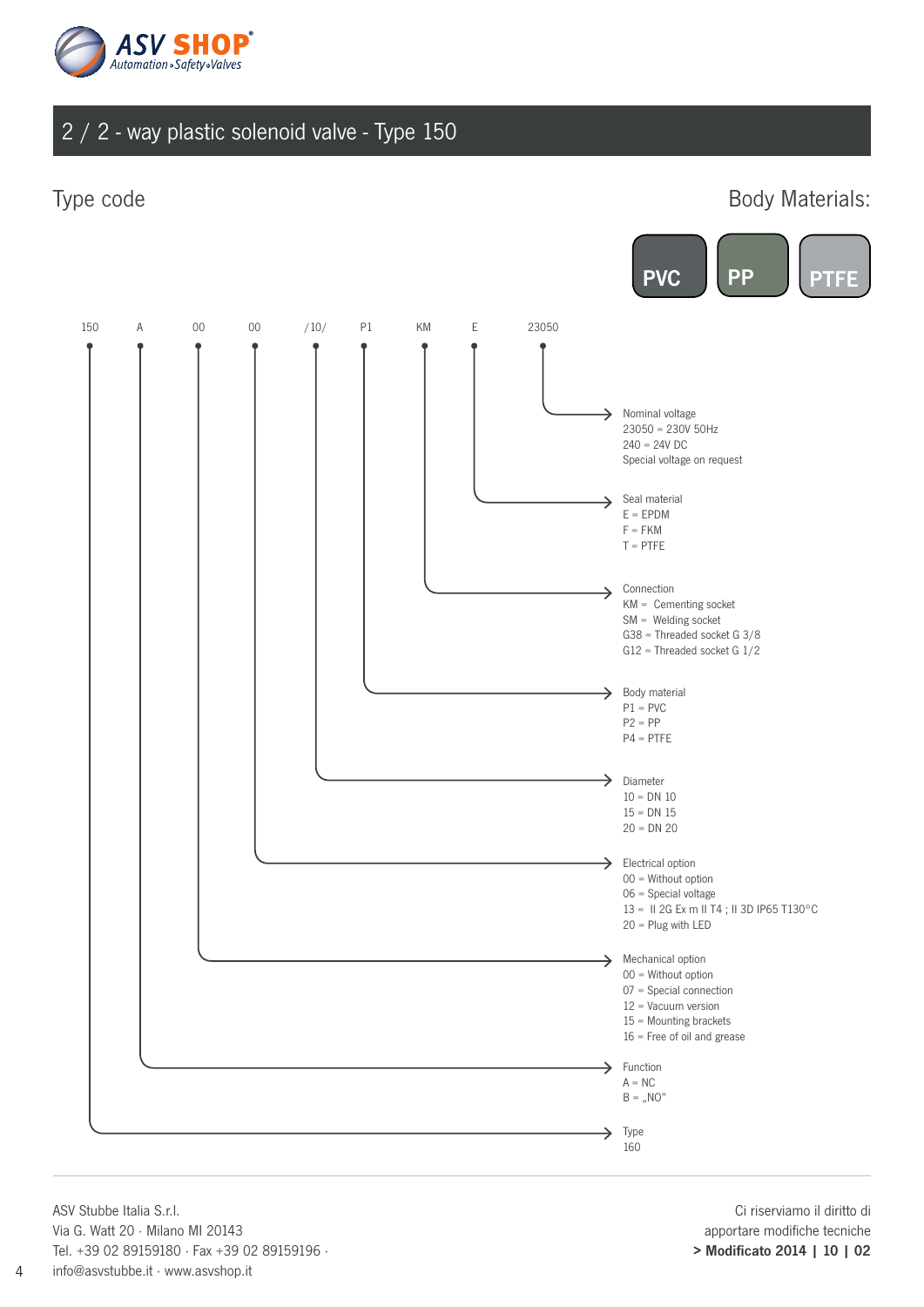

Type code **Body Materials:** 



ASV Stubbe Italia S.r.l. Via G. Watt 20 · Milano MI 20143 Tel. +39 02 89159180 · Fax +39 02 89159196 · info@asvstubbe.it · www.asvshop.it

Ci riserviamo il diritto di apportare modifiche tecniche > Modificato 2014 | 10 | 02